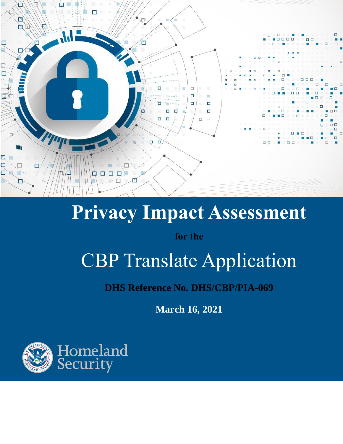

# **Privacy Impact Assessment**

**for the**

# CBP Translate Application

**DHS Reference No. DHS/CBP/PIA-069**

**March 16, 2021**

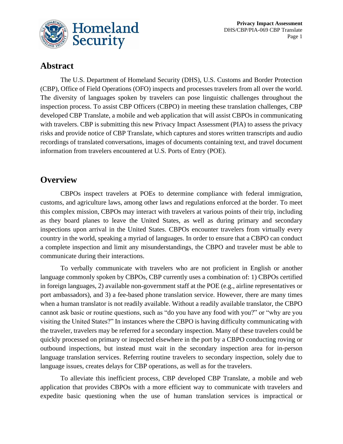

# **Abstract**

The U.S. Department of Homeland Security (DHS), U.S. Customs and Border Protection (CBP), Office of Field Operations (OFO) inspects and processes travelers from all over the world. The diversity of languages spoken by travelers can pose linguistic challenges throughout the inspection process. To assist CBP Officers (CBPO) in meeting these translation challenges, CBP developed CBP Translate, a mobile and web application that will assist CBPOs in communicating with travelers. CBP is submitting this new Privacy Impact Assessment (PIA) to assess the privacy risks and provide notice of CBP Translate, which captures and stores written transcripts and audio recordings of translated conversations, images of documents containing text, and travel document information from travelers encountered at U.S. Ports of Entry (POE).

## **Overview**

CBPOs inspect travelers at POEs to determine compliance with federal immigration, customs, and agriculture laws, among other laws and regulations enforced at the border. To meet this complex mission, CBPOs may interact with travelers at various points of their trip, including as they board planes to leave the United States, as well as during primary and secondary inspections upon arrival in the United States. CBPOs encounter travelers from virtually every country in the world, speaking a myriad of languages. In order to ensure that a CBPO can conduct a complete inspection and limit any misunderstandings, the CBPO and traveler must be able to communicate during their interactions.

To verbally communicate with travelers who are not proficient in English or another language commonly spoken by CBPOs, CBP currently uses a combination of: 1) CBPOs certified in foreign languages, 2) available non-government staff at the POE (e.g., airline representatives or port ambassadors), and 3) a fee-based phone translation service. However, there are many times when a human translator is not readily available. Without a readily available translator, the CBPO cannot ask basic or routine questions, such as "do you have any food with you?" or "why are you visiting the United States?" In instances where the CBPO is having difficulty communicating with the traveler, travelers may be referred for a secondary inspection. Many of these travelers could be quickly processed on primary or inspected elsewhere in the port by a CBPO conducting roving or outbound inspections, but instead must wait in the secondary inspection area for in-person language translation services. Referring routine travelers to secondary inspection, solely due to language issues, creates delays for CBP operations, as well as for the travelers.

To alleviate this inefficient process, CBP developed CBP Translate, a mobile and web application that provides CBPOs with a more efficient way to communicate with travelers and expedite basic questioning when the use of human translation services is impractical or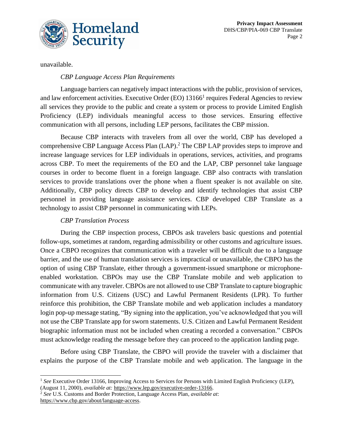

unavailable.

#### *CBP Language Access Plan Requirements*

Language barriers can negatively impact interactions with the public, provision of services, and law enforcement activities. Executive Order (EO) 13166<sup>1</sup> requires Federal Agencies to review all services they provide to the public and create a system or process to provide Limited English Proficiency (LEP) individuals meaningful access to those services. Ensuring effective communication with all persons, including LEP persons, facilitates the CBP mission.

Because CBP interacts with travelers from all over the world, CBP has developed a comprehensive CBP Language Access Plan (LAP). <sup>2</sup> The CBP LAP provides steps to improve and increase language services for LEP individuals in operations, services, activities, and programs across CBP. To meet the requirements of the EO and the LAP, CBP personnel take language courses in order to become fluent in a foreign language. CBP also contracts with translation services to provide translations over the phone when a fluent speaker is not available on site. Additionally, CBP policy directs CBP to develop and identify technologies that assist CBP personnel in providing language assistance services. CBP developed CBP Translate as a technology to assist CBP personnel in communicating with LEPs.

#### *CBP Translation Process*

During the CBP inspection process, CBPOs ask travelers basic questions and potential follow-ups, sometimes at random, regarding admissibility or other customs and agriculture issues. Once a CBPO recognizes that communication with a traveler will be difficult due to a language barrier, and the use of human translation services is impractical or unavailable, the CBPO has the option of using CBP Translate, either through a government-issued smartphone or microphoneenabled workstation. CBPOs may use the CBP Translate mobile and web application to communicate with any traveler. CBPOs are not allowed to use CBP Translate to capture biographic information from U.S. Citizens (USC) and Lawful Permanent Residents (LPR). To further reinforce this prohibition, the CBP Translate mobile and web application includes a mandatory login pop-up message stating, "By signing into the application, you've acknowledged that you will not use the CBP Translate app for sworn statements. U.S. Citizen and Lawful Permanent Resident biographic information must not be included when creating a recorded a conversation." CBPOs must acknowledge reading the message before they can proceed to the application landing page.

Before using CBP Translate, the CBPO will provide the traveler with a disclaimer that explains the purpose of the CBP Translate mobile and web application. The language in the

<sup>&</sup>lt;sup>1</sup> See Executive Order 13166, Improving Access to Services for Persons with Limited English Proficiency (LEP), (August 11, 2000), *available at:* https://www.lep.gov/executive-order-13166.

<sup>2</sup> *See* U.S. Customs and Border Protection, Language Access Plan, *available at*: https://www.cbp.gov/about/language-access.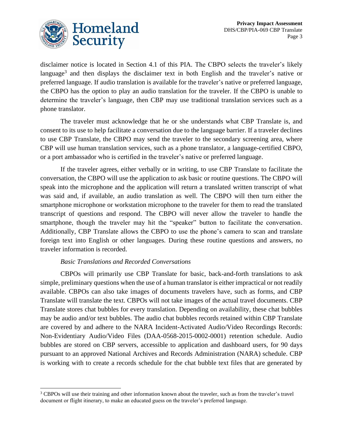

disclaimer notice is located in Section 4.1 of this PIA. The CBPO selects the traveler's likely language<sup>3</sup> and then displays the disclaimer text in both English and the traveler's native or preferred language. If audio translation is available for the traveler's native or preferred language, the CBPO has the option to play an audio translation for the traveler. If the CBPO is unable to determine the traveler's language, then CBP may use traditional translation services such as a phone translator.

The traveler must acknowledge that he or she understands what CBP Translate is, and consent to its use to help facilitate a conversation due to the language barrier. If a traveler declines to use CBP Translate, the CBPO may send the traveler to the secondary screening area, where CBP will use human translation services, such as a phone translator, a language-certified CBPO, or a port ambassador who is certified in the traveler's native or preferred language.

If the traveler agrees, either verbally or in writing, to use CBP Translate to facilitate the conversation, the CBPO will use the application to ask basic or routine questions. The CBPO will speak into the microphone and the application will return a translated written transcript of what was said and, if available, an audio translation as well. The CBPO will then turn either the smartphone microphone or workstation microphone to the traveler for them to read the translated transcript of questions and respond. The CBPO will never allow the traveler to handle the smartphone, though the traveler may hit the "speaker" button to facilitate the conversation. Additionally, CBP Translate allows the CBPO to use the phone's camera to scan and translate foreign text into English or other languages. During these routine questions and answers, no traveler information is recorded.

#### *Basic Translations and Recorded Conversations*

CBPOs will primarily use CBP Translate for basic, back-and-forth translations to ask simple, preliminary questions when the use of a human translator is either impractical or not readily available. CBPOs can also take images of documents travelers have, such as forms, and CBP Translate will translate the text. CBPOs will not take images of the actual travel documents. CBP Translate stores chat bubbles for every translation. Depending on availability, these chat bubbles may be audio and/or text bubbles. The audio chat bubbles records retained within CBP Translate are covered by and adhere to the NARA Incident-Activated Audio/Video Recordings Records: Non-Evidentiary Audio/Video Files (DAA-0568-2015-0002-0001) retention schedule. Audio bubbles are stored on CBP servers, accessible to application and dashboard users, for 90 days pursuant to an approved National Archives and Records Administration (NARA) schedule. CBP is working with to create a records schedule for the chat bubble text files that are generated by

<sup>&</sup>lt;sup>3</sup> CBPOs will use their training and other information known about the traveler, such as from the traveler's travel document or flight itinerary, to make an educated guess on the traveler's preferred language.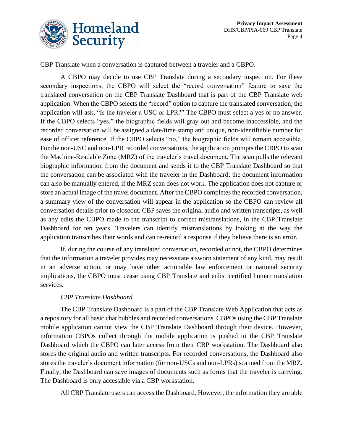

CBP Translate when a conversation is captured between a traveler and a CBPO.

A CBPO may decide to use CBP Translate during a secondary inspection. For these secondary inspections, the CBPO will select the "record conversation" feature to save the translated conversation on the CBP Translate Dashboard that is part of the CBP Translate web application. When the CBPO selects the "record" option to capture the translated conversation, the application will ask, "Is the traveler a USC or LPR?" The CBPO must select a yes or no answer. If the CBPO selects "yes," the biographic fields will gray out and become inaccessible, and the recorded conversation will be assigned a date/time stamp and unique, non-identifiable number for ease of officer reference. If the CBPO selects "no," the biographic fields will remain accessible. For the non-USC and non-LPR recorded conversations, the application prompts the CBPO to scan the Machine-Readable Zone (MRZ) of the traveler's travel document. The scan pulls the relevant biographic information from the document and sends it to the CBP Translate Dashboard so that the conversation can be associated with the traveler in the Dashboard; the document information can also be manually entered, if the MRZ scan does not work. The application does not capture or store an actual image of the travel document. After the CBPO completes the recorded conversation, a summary view of the conversation will appear in the application so the CBPO can review all conversation details prior to closeout. CBP saves the original audio and written transcripts, as well as any edits the CBPO made to the transcript to correct mistranslations, in the CBP Translate Dashboard for ten years. Travelers can identify mistranslations by looking at the way the application transcribes their words and can re-record a response if they believe there is an error.

If, during the course of any translated conversation, recorded or not, the CBPO determines that the information a traveler provides may necessitate a sworn statement of any kind, may result in an adverse action, or may have other actionable law enforcement or national security implications, the CBPO must cease using CBP Translate and enlist certified human translation services.

#### *CBP Translate Dashboard*

The CBP Translate Dashboard is a part of the CBP Translate Web Application that acts as a repository for all basic chat bubbles and recorded conversations. CBPOs using the CBP Translate mobile application cannot view the CBP Translate Dashboard through their device. However, information CBPOs collect through the mobile application is pushed to the CBP Translate Dashboard which the CBPO can later access from their CBP workstation. The Dashboard also stores the original audio and written transcripts. For recorded conversations, the Dashboard also stores the traveler's document information (for non-USCs and non-LPRs) scanned from the MRZ. Finally, the Dashboard can save images of documents such as forms that the traveler is carrying. The Dashboard is only accessible via a CBP workstation.

All CBP Translate users can access the Dashboard. However, the information they are able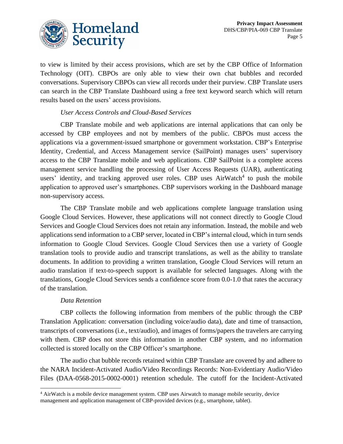

to view is limited by their access provisions, which are set by the CBP Office of Information Technology (OIT). CBPOs are only able to view their own chat bubbles and recorded conversations. Supervisory CBPOs can view all records under their purview. CBP Translate users can search in the CBP Translate Dashboard using a free text keyword search which will return results based on the users' access provisions.

#### *User Access Controls and Cloud-Based Services*

CBP Translate mobile and web applications are internal applications that can only be accessed by CBP employees and not by members of the public. CBPOs must access the applications via a government-issued smartphone or government workstation. CBP's Enterprise Identity, Credential, and Access Management service (SailPoint) manages users' supervisory access to the CBP Translate mobile and web applications. CBP SailPoint is a complete access management service handling the processing of User Access Requests (UAR), authenticating users' identity, and tracking approved user roles. CBP uses  $AirWatch<sup>4</sup>$  to push the mobile application to approved user's smartphones. CBP supervisors working in the Dashboard manage non-supervisory access.

The CBP Translate mobile and web applications complete language translation using Google Cloud Services. However, these applications will not connect directly to Google Cloud Services and Google Cloud Services does not retain any information. Instead, the mobile and web applications send information to a CBP server, located in CBP's internal cloud, which in turn sends information to Google Cloud Services. Google Cloud Services then use a variety of Google translation tools to provide audio and transcript translations, as well as the ability to translate documents. In addition to providing a written translation, Google Cloud Services will return an audio translation if text-to-speech support is available for selected languages. Along with the translations, Google Cloud Services sends a confidence score from 0.0-1.0 that rates the accuracy of the translation.

#### *Data Retention*

CBP collects the following information from members of the public through the CBP Translation Application: conversation (including voice/audio data), date and time of transaction, transcripts of conversations (i.e., text/audio), and images of forms/papers the travelers are carrying with them. CBP does not store this information in another CBP system, and no information collected is stored locally on the CBP Officer's smartphone.

The audio chat bubble records retained within CBP Translate are covered by and adhere to the NARA Incident-Activated Audio/Video Recordings Records: Non-Evidentiary Audio/Video Files (DAA-0568-2015-0002-0001) retention schedule. The cutoff for the Incident-Activated

<sup>&</sup>lt;sup>4</sup> AirWatch is a mobile device management system. CBP uses Airwatch to manage mobile security, device management and application management of CBP-provided devices (e.g., smartphone, tablet).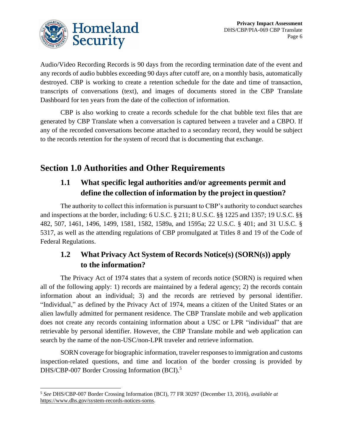

Audio/Video Recording Records is 90 days from the recording termination date of the event and any records of audio bubbles exceeding 90 days after cutoff are, on a monthly basis, automatically destroyed. CBP is working to create a retention schedule for the date and time of transaction, transcripts of conversations (text), and images of documents stored in the CBP Translate Dashboard for ten years from the date of the collection of information.

CBP is also working to create a records schedule for the chat bubble text files that are generated by CBP Translate when a conversation is captured between a traveler and a CBPO. If any of the recorded conversations become attached to a secondary record, they would be subject to the records retention for the system of record that is documenting that exchange.

# **Section 1.0 Authorities and Other Requirements**

## **1.1 What specific legal authorities and/or agreements permit and define the collection of information by the project in question?**

The authority to collect this information is pursuant to CBP's authority to conduct searches and inspections at the border, including: 6 U.S.C. § 211; 8 U.S.C. §§ 1225 and 1357; 19 U.S.C. §§ 482, 507, 1461, 1496, 1499, 1581, 1582, 1589a, and 1595a; 22 U.S.C. § 401; and 31 U.S.C. § 5317, as well as the attending regulations of CBP promulgated at Titles 8 and 19 of the Code of Federal Regulations.

## **1.2 What Privacy Act System of Records Notice(s) (SORN(s)) apply to the information?**

The Privacy Act of 1974 states that a system of records notice (SORN) is required when all of the following apply: 1) records are maintained by a federal agency; 2) the records contain information about an individual; 3) and the records are retrieved by personal identifier. "Individual," as defined by the Privacy Act of 1974, means a citizen of the United States or an alien lawfully admitted for permanent residence. The CBP Translate mobile and web application does not create any records containing information about a USC or LPR "individual" that are retrievable by personal identifier. However, the CBP Translate mobile and web application can search by the name of the non-USC/non-LPR traveler and retrieve information.

SORN coverage for biographic information, traveler responses to immigration and customs inspection-related questions, and time and location of the border crossing is provided by DHS/CBP-007 Border Crossing Information (BCI).<sup>5</sup>

<sup>5</sup> *See* DHS/CBP-007 Border Crossing Information (BCI), 77 FR 30297 (December 13, 2016), *available at* [https://www.dhs.gov/system-records-notices-sorns.](https://www.dhs.gov/system-records-notices-sorns)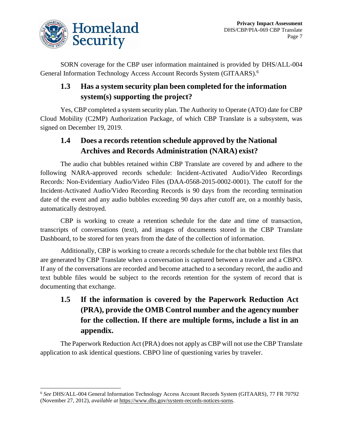

SORN coverage for the CBP user information maintained is provided by DHS/ALL-004 General Information Technology Access Account Records System (GITAARS).<sup>6</sup>

## **1.3 Has a system security plan been completed for the information system(s) supporting the project?**

Yes, CBP completed a system security plan. The Authority to Operate (ATO) date for CBP Cloud Mobility (C2MP) Authorization Package, of which CBP Translate is a subsystem, was signed on December 19, 2019.

#### **1.4 Does a records retention schedule approved by the National Archives and Records Administration (NARA) exist?**

The audio chat bubbles retained within CBP Translate are covered by and adhere to the following NARA-approved records schedule: Incident-Activated Audio/Video Recordings Records: Non-Evidentiary Audio/Video Files (DAA-0568-2015-0002-0001). The cutoff for the Incident-Activated Audio/Video Recording Records is 90 days from the recording termination date of the event and any audio bubbles exceeding 90 days after cutoff are, on a monthly basis, automatically destroyed.

CBP is working to create a retention schedule for the date and time of transaction, transcripts of conversations (text), and images of documents stored in the CBP Translate Dashboard, to be stored for ten years from the date of the collection of information.

Additionally, CBP is working to create a records schedule for the chat bubble text files that are generated by CBP Translate when a conversation is captured between a traveler and a CBPO. If any of the conversations are recorded and become attached to a secondary record, the audio and text bubble files would be subject to the records retention for the system of record that is documenting that exchange.

# **1.5 If the information is covered by the Paperwork Reduction Act (PRA), provide the OMB Control number and the agency number for the collection. If there are multiple forms, include a list in an appendix.**

The Paperwork Reduction Act (PRA) does not apply as CBP will not use the CBP Translate application to ask identical questions. CBPO line of questioning varies by traveler.

<sup>6</sup> *See* DHS/ALL-004 General Information Technology Access Account Records System (GITAARS), 77 FR 70792 (November 27, 2012), *available at* [https://www.dhs.gov/system-records-notices-sorns.](https://www.dhs.gov/system-records-notices-sorns)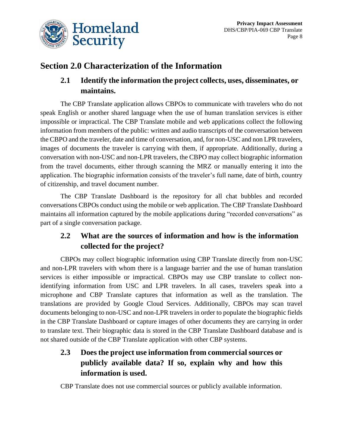

# **Section 2.0 Characterization of the Information**

#### **2.1 Identify the information the project collects, uses, disseminates, or maintains.**

The CBP Translate application allows CBPOs to communicate with travelers who do not speak English or another shared language when the use of human translation services is either impossible or impractical. The CBP Translate mobile and web applications collect the following information from members of the public: written and audio transcripts of the conversation between the CBPO and the traveler, date and time of conversation, and, for non-USC and non LPR travelers, images of documents the traveler is carrying with them, if appropriate. Additionally, during a conversation with non-USC and non-LPR travelers, the CBPO may collect biographic information from the travel documents, either through scanning the MRZ or manually entering it into the application. The biographic information consists of the traveler's full name, date of birth, country of citizenship, and travel document number.

The CBP Translate Dashboard is the repository for all chat bubbles and recorded conversations CBPOs conduct using the mobile or web application. The CBP Translate Dashboard maintains all information captured by the mobile applications during "recorded conversations" as part of a single conversation package.

## **2.2 What are the sources of information and how is the information collected for the project?**

CBPOs may collect biographic information using CBP Translate directly from non-USC and non-LPR travelers with whom there is a language barrier and the use of human translation services is either impossible or impractical. CBPOs may use CBP translate to collect nonidentifying information from USC and LPR travelers. In all cases, travelers speak into a microphone and CBP Translate captures that information as well as the translation. The translations are provided by Google Cloud Services. Additionally, CBPOs may scan travel documents belonging to non-USC and non-LPR travelers in order to populate the biographic fields in the CBP Translate Dashboard or capture images of other documents they are carrying in order to translate text. Their biographic data is stored in the CBP Translate Dashboard database and is not shared outside of the CBP Translate application with other CBP systems.

# **2.3 Does the project use information from commercial sources or publicly available data? If so, explain why and how this information is used.**

CBP Translate does not use commercial sources or publicly available information.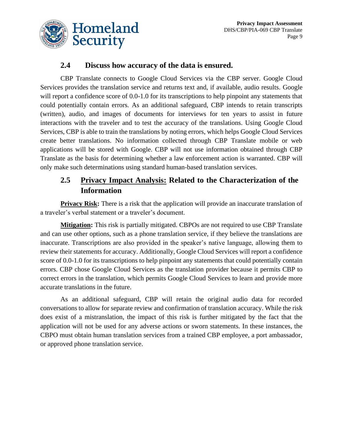

#### **2.4 Discuss how accuracy of the data is ensured.**

CBP Translate connects to Google Cloud Services via the CBP server. Google Cloud Services provides the translation service and returns text and, if available, audio results. Google will report a confidence score of 0.0-1.0 for its transcriptions to help pinpoint any statements that could potentially contain errors. As an additional safeguard, CBP intends to retain transcripts (written), audio, and images of documents for interviews for ten years to assist in future interactions with the traveler and to test the accuracy of the translations. Using Google Cloud Services, CBP is able to train the translations by noting errors, which helps Google Cloud Services create better translations. No information collected through CBP Translate mobile or web applications will be stored with Google. CBP will not use information obtained through CBP Translate as the basis for determining whether a law enforcement action is warranted. CBP will only make such determinations using standard human-based translation services.

## **2.5 Privacy Impact Analysis: Related to the Characterization of the Information**

**Privacy Risk:** There is a risk that the application will provide an inaccurate translation of a traveler's verbal statement or a traveler's document.

**Mitigation:** This risk is partially mitigated. CBPOs are not required to use CBP Translate and can use other options, such as a phone translation service, if they believe the translations are inaccurate. Transcriptions are also provided in the speaker's native language, allowing them to review their statements for accuracy. Additionally, Google Cloud Services will report a confidence score of 0.0-1.0 for its transcriptions to help pinpoint any statements that could potentially contain errors. CBP chose Google Cloud Services as the translation provider because it permits CBP to correct errors in the translation, which permits Google Cloud Services to learn and provide more accurate translations in the future.

As an additional safeguard, CBP will retain the original audio data for recorded conversations to allow for separate review and confirmation of translation accuracy. While the risk does exist of a mistranslation, the impact of this risk is further mitigated by the fact that the application will not be used for any adverse actions or sworn statements. In these instances, the CBPO must obtain human translation services from a trained CBP employee, a port ambassador, or approved phone translation service.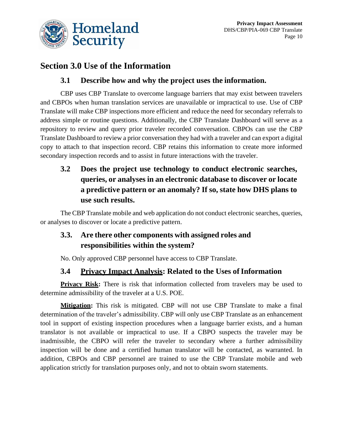

# **Section 3.0 Use of the Information**

#### **3.1 Describe how and why the project uses the information.**

CBP uses CBP Translate to overcome language barriers that may exist between travelers and CBPOs when human translation services are unavailable or impractical to use. Use of CBP Translate will make CBP inspections more efficient and reduce the need for secondary referrals to address simple or routine questions. Additionally, the CBP Translate Dashboard will serve as a repository to review and query prior traveler recorded conversation. CBPOs can use the CBP Translate Dashboard to review a prior conversation they had with a traveler and can export a digital copy to attach to that inspection record. CBP retains this information to create more informed secondary inspection records and to assist in future interactions with the traveler.

# **3.2 Does the project use technology to conduct electronic searches, queries, or analyses in an electronic database to discover or locate a predictive pattern or an anomaly? If so, state how DHS plans to use such results.**

The CBP Translate mobile and web application do not conduct electronic searches, queries, or analyses to discover or locate a predictive pattern.

## **3.3. Are there other components with assigned roles and responsibilities within the system?**

No. Only approved CBP personnel have access to CBP Translate.

## **3.4 Privacy Impact Analysis: Related to the Uses of Information**

**Privacy Risk:** There is risk that information collected from travelers may be used to determine admissibility of the traveler at a U.S. POE.

**Mitigation:** This risk is mitigated. CBP will not use CBP Translate to make a final determination of the traveler's admissibility. CBP will only use CBP Translate as an enhancement tool in support of existing inspection procedures when a language barrier exists, and a human translator is not available or impractical to use. If a CBPO suspects the traveler may be inadmissible, the CBPO will refer the traveler to secondary where a further admissibility inspection will be done and a certified human translator will be contacted, as warranted. In addition, CBPOs and CBP personnel are trained to use the CBP Translate mobile and web application strictly for translation purposes only, and not to obtain sworn statements.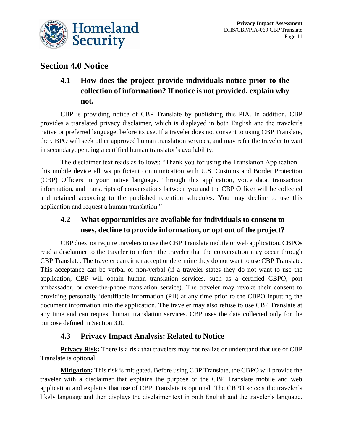

# **Section 4.0 Notice**

# **4.1 How does the project provide individuals notice prior to the collection of information? If notice is not provided, explain why not.**

CBP is providing notice of CBP Translate by publishing this PIA. In addition, CBP provides a translated privacy disclaimer, which is displayed in both English and the traveler's native or preferred language, before its use. If a traveler does not consent to using CBP Translate, the CBPO will seek other approved human translation services, and may refer the traveler to wait in secondary, pending a certified human translator's availability.

The disclaimer text reads as follows: "Thank you for using the Translation Application – this mobile device allows proficient communication with U.S. Customs and Border Protection (CBP) Officers in your native language. Through this application, voice data, transaction information, and transcripts of conversations between you and the CBP Officer will be collected and retained according to the published retention schedules. You may decline to use this application and request a human translation."

## **4.2 What opportunities are available for individuals to consent to uses, decline to provide information, or opt out of the project?**

CBP does not require travelers to use the CBP Translate mobile or web application. CBPOs read a disclaimer to the traveler to inform the traveler that the conversation may occur through CBP Translate. The traveler can either accept or determine they do not want to use CBP Translate. This acceptance can be verbal or non-verbal (if a traveler states they do not want to use the application, CBP will obtain human translation services, such as a certified CBPO, port ambassador, or over-the-phone translation service). The traveler may revoke their consent to providing personally identifiable information (PII) at any time prior to the CBPO inputting the document information into the application. The traveler may also refuse to use CBP Translate at any time and can request human translation services. CBP uses the data collected only for the purpose defined in Section 3.0.

#### **4.3 Privacy Impact Analysis: Related to Notice**

**Privacy Risk:** There is a risk that travelers may not realize or understand that use of CBP Translate is optional.

**Mitigation:** This risk is mitigated. Before using CBP Translate, the CBPO will provide the traveler with a disclaimer that explains the purpose of the CBP Translate mobile and web application and explains that use of CBP Translate is optional. The CBPO selects the traveler's likely language and then displays the disclaimer text in both English and the traveler's language.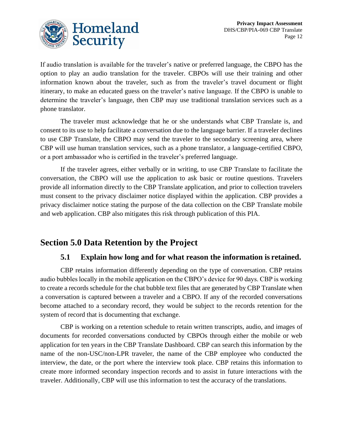

If audio translation is available for the traveler's native or preferred language, the CBPO has the option to play an audio translation for the traveler. CBPOs will use their training and other information known about the traveler, such as from the traveler's travel document or flight itinerary, to make an educated guess on the traveler's native language. If the CBPO is unable to determine the traveler's language, then CBP may use traditional translation services such as a phone translator.

The traveler must acknowledge that he or she understands what CBP Translate is, and consent to its use to help facilitate a conversation due to the language barrier. If a traveler declines to use CBP Translate, the CBPO may send the traveler to the secondary screening area, where CBP will use human translation services, such as a phone translator, a language-certified CBPO, or a port ambassador who is certified in the traveler's preferred language.

If the traveler agrees, either verbally or in writing, to use CBP Translate to facilitate the conversation, the CBPO will use the application to ask basic or routine questions. Travelers provide all information directly to the CBP Translate application, and prior to collection travelers must consent to the privacy disclaimer notice displayed within the application. CBP provides a privacy disclaimer notice stating the purpose of the data collection on the CBP Translate mobile and web application. CBP also mitigates this risk through publication of this PIA.

# **Section 5.0 Data Retention by the Project**

#### **5.1 Explain how long and for what reason the information is retained.**

CBP retains information differently depending on the type of conversation. CBP retains audio bubbles locally in the mobile application on the CBPO's device for 90 days. CBP is working to create a records schedule for the chat bubble text files that are generated by CBP Translate when a conversation is captured between a traveler and a CBPO. If any of the recorded conversations become attached to a secondary record, they would be subject to the records retention for the system of record that is documenting that exchange.

CBP is working on a retention schedule to retain written transcripts, audio, and images of documents for recorded conversations conducted by CBPOs through either the mobile or web application for ten years in the CBP Translate Dashboard. CBP can search this information by the name of the non-USC/non-LPR traveler, the name of the CBP employee who conducted the interview, the date, or the port where the interview took place. CBP retains this information to create more informed secondary inspection records and to assist in future interactions with the traveler. Additionally, CBP will use this information to test the accuracy of the translations.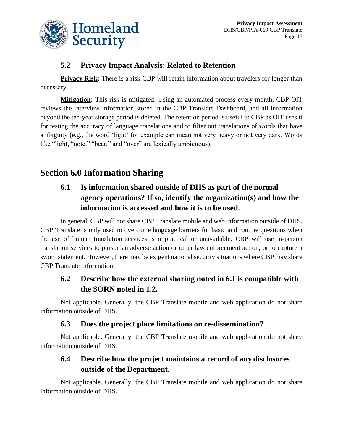

#### **5.2 Privacy Impact Analysis: Related to Retention**

**Privacy Risk:** There is a risk CBP will retain information about travelers for longer than necessary.

**Mitigation:** This risk is mitigated. Using an automated process every month, CBP OIT reviews the interview information stored in the CBP Translate Dashboard, and all information beyond the ten-year storage period is deleted. The retention period is useful to CBP as OIT uses it for testing the accuracy of language translations and to filter out translations of words that have ambiguity (e.g., the word 'light' for example can mean not very heavy or not very dark. Words like "light, "note," "bear," and "over" are lexically ambiguous).

# **Section 6.0 Information Sharing**

# **6.1 Is information shared outside of DHS as part of the normal agency operations? If so, identify the organization(s) and how the information is accessed and how it is to be used.**

In general, CBP will not share CBP Translate mobile and web information outside of DHS. CBP Translate is only used to overcome language barriers for basic and routine questions when the use of human translation services is impractical or unavailable. CBP will use in-person translation services to pursue an adverse action or other law enforcement action, or to capture a sworn statement. However, there may be exigent national security situations where CBP may share CBP Translate information.

# **6.2 Describe how the external sharing noted in 6.1 is compatible with the SORN noted in 1.2.**

Not applicable. Generally, the CBP Translate mobile and web application do not share information outside of DHS.

#### **6.3 Does the project place limitations on re-dissemination?**

Not applicable. Generally, the CBP Translate mobile and web application do not share information outside of DHS.

#### **6.4 Describe how the project maintains a record of any disclosures outside of the Department.**

Not applicable. Generally, the CBP Translate mobile and web application do not share information outside of DHS.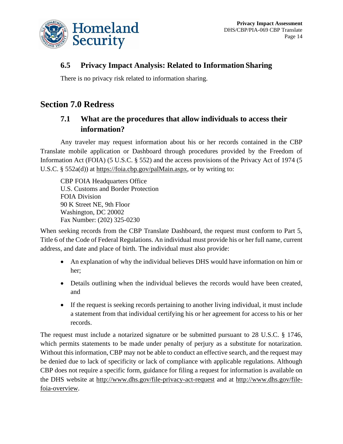

#### **6.5 Privacy Impact Analysis: Related to Information Sharing**

There is no privacy risk related to information sharing.

# **Section 7.0 Redress**

#### **7.1 What are the procedures that allow individuals to access their information?**

Any traveler may request information about his or her records contained in the CBP Translate mobile application or Dashboard through procedures provided by the Freedom of Information Act (FOIA) (5 U.S.C. § 552) and the access provisions of the Privacy Act of 1974 (5 U.S.C. § 552a(d)) at [https://foia.cbp.gov/palMain.aspx,](https://foia.cbp.gov/palMain.aspx) or by writing to:

CBP FOIA Headquarters Office U.S. Customs and Border Protection FOIA Division 90 K Street NE, 9th Floor Washington, DC 20002 Fax Number: (202) 325-0230

When seeking records from the CBP Translate Dashboard, the request must conform to Part 5, Title 6 of the Code of Federal Regulations. An individual must provide his or her full name, current address, and date and place of birth. The individual must also provide:

- An explanation of why the individual believes DHS would have information on him or her;
- Details outlining when the individual believes the records would have been created, and
- If the request is seeking records pertaining to another living individual, it must include a statement from that individual certifying his or her agreement for access to his or her records.

The request must include a notarized signature or be submitted pursuant to 28 U.S.C. § 1746, which permits statements to be made under penalty of perjury as a substitute for notarization. Without this information, CBP may not be able to conduct an effective search, and the request may be denied due to lack of specificity or lack of compliance with applicable regulations. Although CBP does not require a specific form, guidance for filing a request for information is available on the DHS website at http://www.dhs.gov/file-privacy-act-request and at http://www.dhs.gov/filefoia-overview.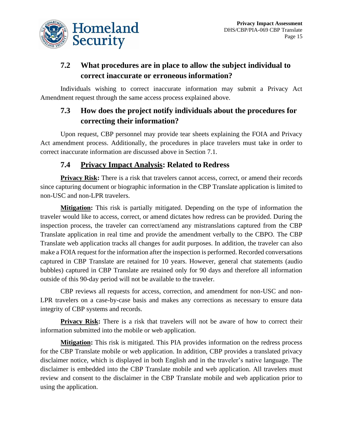

# **7.2 What procedures are in place to allow the subject individual to correct inaccurate or erroneous information?**

Individuals wishing to correct inaccurate information may submit a Privacy Act Amendment request through the same access process explained above.

## **7.3 How does the project notify individuals about the procedures for correcting their information?**

Upon request, CBP personnel may provide tear sheets explaining the FOIA and Privacy Act amendment process. Additionally, the procedures in place travelers must take in order to correct inaccurate information are discussed above in Section 7.1.

#### **7.4 Privacy Impact Analysis: Related to Redress**

**Privacy Risk:** There is a risk that travelers cannot access, correct, or amend their records since capturing document or biographic information in the CBP Translate application is limited to non-USC and non-LPR travelers.

**Mitigation:** This risk is partially mitigated. Depending on the type of information the traveler would like to access, correct, or amend dictates how redress can be provided. During the inspection process, the traveler can correct/amend any mistranslations captured from the CBP Translate application in real time and provide the amendment verbally to the CBPO. The CBP Translate web application tracks all changes for audit purposes. In addition, the traveler can also make a FOIA request for the information after the inspection is performed. Recorded conversations captured in CBP Translate are retained for 10 years. However, general chat statements (audio bubbles) captured in CBP Translate are retained only for 90 days and therefore all information outside of this 90-day period will not be available to the traveler.

CBP reviews all requests for access, correction, and amendment for non-USC and non-LPR travelers on a case-by-case basis and makes any corrections as necessary to ensure data integrity of CBP systems and records.

**Privacy Risk:** There is a risk that travelers will not be aware of how to correct their information submitted into the mobile or web application.

**Mitigation:** This risk is mitigated. This PIA provides information on the redress process for the CBP Translate mobile or web application. In addition, CBP provides a translated privacy disclaimer notice, which is displayed in both English and in the traveler's native language. The disclaimer is embedded into the CBP Translate mobile and web application. All travelers must review and consent to the disclaimer in the CBP Translate mobile and web application prior to using the application.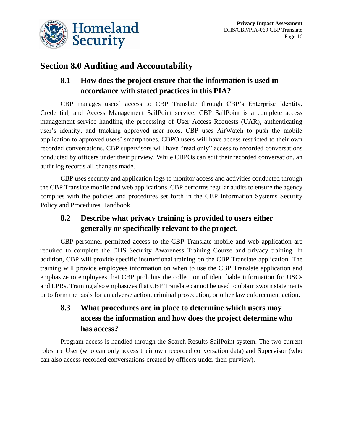

# **Section 8.0 Auditing and Accountability**

## **8.1 How does the project ensure that the information is used in accordance with stated practices in this PIA?**

CBP manages users' access to CBP Translate through CBP's Enterprise Identity, Credential, and Access Management SailPoint service. CBP SailPoint is a complete access management service handling the processing of User Access Requests (UAR), authenticating user's identity, and tracking approved user roles. CBP uses AirWatch to push the mobile application to approved users' smartphones. CBPO users will have access restricted to their own recorded conversations. CBP supervisors will have "read only" access to recorded conversations conducted by officers under their purview. While CBPOs can edit their recorded conversation, an audit log records all changes made.

CBP uses security and application logs to monitor access and activities conducted through the CBP Translate mobile and web applications. CBP performs regular audits to ensure the agency complies with the policies and procedures set forth in the CBP Information Systems Security Policy and Procedures Handbook.

# **8.2 Describe what privacy training is provided to users either generally or specifically relevant to the project.**

CBP personnel permitted access to the CBP Translate mobile and web application are required to complete the DHS Security Awareness Training Course and privacy training. In addition, CBP will provide specific instructional training on the CBP Translate application. The training will provide employees information on when to use the CBP Translate application and emphasize to employees that CBP prohibits the collection of identifiable information for USCs and LPRs. Training also emphasizes that CBP Translate cannot be used to obtain sworn statements or to form the basis for an adverse action, criminal prosecution, or other law enforcement action.

# **8.3 What procedures are in place to determine which users may access the information and how does the project determine who has access?**

Program access is handled through the Search Results SailPoint system. The two current roles are User (who can only access their own recorded conversation data) and Supervisor (who can also access recorded conversations created by officers under their purview).